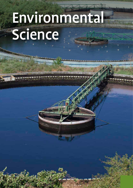# Environmental **Science**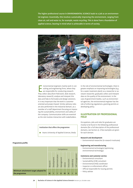The higher professional course in ENVIRONMENTAL SCIENCE leads to a job as an environmental engineer. Essentially, this involves sustainably improving the environment, ranging from clean air, soil and water to, for example, waste recycling. This is done from a foundation of applied science, bearing in mind what is achievable in terms of society.



Invironmental engineers mainly work in corrections with the sulting and engineering firms, where they are responsible for conducting research.<br>They collect data (from field work, desk research, nvironmental engineers mainly work in consulting and engineering firms, where they are responsible for conducting research. laboratory research), analyse and interpret this data and help to formulate and design solutions. It is very important that the work is customeroriented and project-based. Similar advisory roles are also performed in the industrial domain, as a member of a staff department focusing on improving the sustainability, environment and safety of the company. Communication skills are essential as the role involves interaction with stakeholders.

Institution that offers the programme

**E** Avans University of Applied Sciences, Breda

In the role of environmental technologist, there is greater emphasis on improving technologies (e.g. for a water treatment plant); as a researcher or assistant researcher, graduates collect and interpret data on the quality of the environment. In the case of government bodies, such as environmental agencies, the environmental engineer has the role of enforcing regulations, granting permits or developing policy.

#### **ILLUSTRATION OF PROFESSIONAL FIELD**

Occupations, jobs and roles for graduates are mostly to be found in the following professional domains (for a full description of the professional domains, see Section 2). A few examples are given for each domain.

#### **Research and development**

– Environmental researcher (in research institutes)

#### **Engineering and manufacturing**

– Environmental technologist (optimising environmental technology)

#### **Commerce and customer service**

- Environmental consultant
- Sustainability (CSR) consultant
- Environmental (HSE) coordinator
- Inspector or enforcement officer
- Official responsible for issuing permits
- Policy adviser

**Programme profile**

|                                                        | Competence |             |                 |            |        |             |            |                 |
|--------------------------------------------------------|------------|-------------|-----------------|------------|--------|-------------|------------|-----------------|
|                                                        | Research   | Development | Experimentation | Management | Advice | Instruction | Leadership | Self-management |
| Minimum attainment target adopted for<br>the programme | Ш          | П           |                 | Ш          | Ш      | Ш           |            | п               |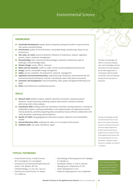## Environmental Science

 $H_s^{\mathcal{C}}$ 

#### **KNOWLEDGE**

- Sustainable development: people, planet, prosperity, passing the burden in space and time, CSR, system-oriented thinking
- **Environment:** quality of the environment, sustainable design and planning, impact on our environment
- **E** Soil, water, air, noise: sources of pollution, behaviour of substances, research, regulatory process, impact, measures, management
- **E** Nature/ecology: basic natural principles (ecology), ecosystems, biodiversity, types of landscape, cultural heritage values
- **Climate change:** causes, effects, measures
- $\blacksquare$  Waste and raw materials: cradle-to-cradle, circular economy (biobased and technical)
- **Energy:** sources, sustainable energy management
- **E** Safety: sources, standards, risk assessment, measures, management
- **E** Legislation and environmental policy: spatial planning, flora/fauna, environmental law, EIA, environmental policy (European, national, international, water, soil), policy instruments
- **ECONOMICS and management:** financial feasibility, SCBA, quality management/Deming circle, **OHSE**
- Ethics: moral dilemmas in professional practice

#### **SKILLS**

- **E** Research skills: problem analysis, problem statement articulation, preparing research questions, research planning, reviewing, analysis, desk research, statistical methods, performing multi-criteria analyses
- **Consultancy skills:** holding intake and consultancy interviews, issuing quotations, carrying out stakeholder analyses, involving stakeholders in the implementation of assignments (environmental awareness, sensitivity regarding policy and political issues), effective collaboration with other disciplines, presenting recommendations
- **E** Specific ICT skills: using geographical information systems, dispersion and sustainability models
- General laboratory skills: analysing soil, water, air in accordance with protocol
- Fieldwork skills: soil, water, flora/fauna, region

The Body of Knowledge and Skills is a summary of graduates' basic knowledge and basic skills which has been prepared by the HBO-programmes in consultation with the professional field. These are obtained during the first two years of education.

The Body of Knowledge and Skills for Environmental Science is laid down in the national consultative document covering all Environmental Science degree programmes. All other Environmental Science programmes are outside the scope of the Applied Science Domain and are not presented here. For more information, a detailed national document is available, see reference 2 on page 75.

#### **TYPICAL TEXTBOOKS**

- *Environmental Science, A Global Concern,*  W.P. Cunningham, M. Cunningham
- *Introduction to Environmental Engineering and Science,* G.M. Masters, W.P. Ela
- *Campbell Biology,* L.A. Urry, M.L. Cain e.a.
- *Chemistry the Central Science,* T.E. Brown, H.E. LeMay e.a.
- *Brock Biology of Microorganisms,* M.T. Madigan, K.S. Bender e.a.
- *Foundations Maths,* A. Croft, R. Davison
- *Managing your competencies,* R. Grit
- *Project Management,* R. Grit
- *Praktisch Omgevingsrecht,* H.M. Liedekerken

serves as an illustration to give an impression of the level at which the subject is taught in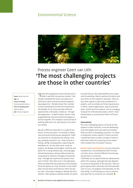### Environmental Science



## Process engineer Geert van Lith: 'The most challenging projects are those in other countries'

Name: Geert van Lith Age: 25 Course of study: Environmental Science Place of employment: Maris Projects Job: Process engineer

'I chose this programme at the time because it fitted in well with my previous studies: I had already completed the senior secondary vocational land, water and environmental engineering programme. I therefore knew that I wanted to have something to do with the environment. The breadth of my course provides sufficient opportunities. Eventually, I ended up – through my programme – at Maris Projects, where I have progressed from environmental technologist to process engineer. This company's practical way of working really suits me, also because of my previous studies.

My job is difficult to describe in a couple of sentences. On the one hand, I'm involved in selling new and second-hand process equipment. These are machines or components for milling, crushing, pumping, extraction, etc. I help my boss in buying, selling, issuing quotes, supervising the workshop, etc. On the other hand, I work on projects: we develop technologies, machines and plants for re-using residues (e.g. culturing algae, fermenting biomass, drying residual products), using physical, thermal or biological treatments only. I manage and supervise the projects from start to finish. They often start in the laboratory, where we determine the properties of the residues. Once the options are clear, we build a scale model (from second-hand machinery) on which we test our idea. I then help to design or develop the final solution. After being successfully tested, the plants are built full-size. My responsibilities are to supervise the workshop, help to optimise the plants and start them on the customer's premises. There are also other aspects to take into consideration in projects, such as subsidy and financing processes in which I submit applications, reports and work plans. And the practical aspects, such as arranging transport for international projects, which I never learned about at university but which still has to be done.

#### **International**

The most challenging aspects of my job are the projects in other countries. As we are developing new technologies and most waste and residual flows are often in developing countries, it is easier to implement certain projects in these countries. I myself have been to India a number of times to help build a plant for extracting oil from waste meat residues from the leather industry.

Research and experimentation are very important competences in my professional field. The way I use them now is certainly different from the way we had them at university.

I definitely see my opportunities for advancement within the company, although that also depends of course on the growth of the business. There are great opportunities nationally and internationally and I'm sure I can progress internationally. For the time being, I'm still learning so much in practice every day that no university can compete!' $\blacksquare$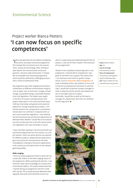# Project worker Bianca Peeters: 'I can now focus on specific competences'

 $\Box$  I did a job aptitude test just before completing my senior secondary vocational programme. This showed that my interest lay in the environment, society and technology. After visiting an open day for the environmental science programme, I became really enthusiastic: it looked like an enjoyable and interesting programme which would be sufficiently challenging and provide a choice of professional field.

My programme was wide-ranging and involved a combination of different environmental subjects, such as water, soil, air and noise, ecology, climate change, sustainable energy, sustainable development and legislation. The subject was taught in the form of courses, training sessions and project-based work. In the third and fourth years I did two internships and gained some practical experience. During my graduation project, I conducted research into a proposal for a new Nature Conservation Act and how it compared with current nature protection legislation. I was asked by the Environmental Law and Permits department of Witteveen+Bos whether I would like to do research into this as they had a lot to do with nature protection legislation and I was interested in nature.

I have now been working in the Environmental Law and Permits department for nine months. As a Project worker I check out which permits are required for different projects, prepare permit applications, give instructions for environmental and other investigations relating to the permit applications to be carried out and submit them to the relevant governing bodies.

#### **Wide-ranging**

I think my study programme fitted in well with my current job, thanks to the wide-ranging nature of the programme. While working with permits, I now find that I have some knowledge of a variety of environmental subjects. The project-based work that I learned during my programme also fits in well with my job. This is partly because Witteveen+Bos regularly work with environmental science students in supervising and implementing all kinds of projects. I was one of them myself in the third year of my programme!

Thanks to the competence-based approach in my programme, I learned which competences I was good at and which not so good. This means that I can now focus extra hard on specific competences, such as *instruction* and **management**, in order to develop further. My ambition is first of all to become an experienced consultant on permits. Later, I would like to become a project manager in order to keep the permit process and related matters on the right track for a project. Eventually, I would like to work as the head or manager of a department. But that's an ambition for the long term!' $\blacksquare$ 

Name: Bianca Peeters Age: 24 Course of study: Environmental Science Place of employment: Consultancy and engineering firm Witteveen+Bos Job: Project worker for environmental law and permits